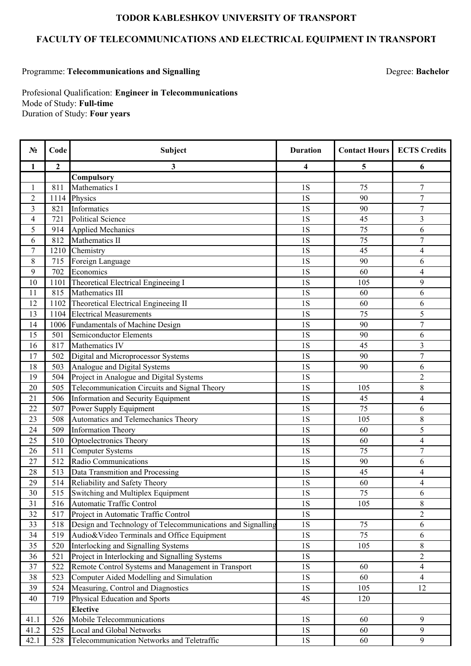## **TODOR KABLESHKOV UNIVERSITY OF TRANSPORT**

## **FACULTY OF TELECOMMUNICATIONS AND ELECTRICAL EQUIPMENT IN TRANSPORT**

## Programme: **Telecommunications and Signalling**

Degree: **Bachelor**

Duration of Study: **Four years** Profesional Qualification: **Engineer in Telecommunications** Mode of Study: **Full-time**

| $\overline{2}$<br>1<br>3<br>5<br>4<br>6<br>Compulsory<br>Mathematics I<br>$\overline{7}$<br>811<br>1S<br>75<br>$\mathbf{1}$<br>$\overline{2}$<br>$\overline{7}$<br>Physics<br>1S<br>90<br>1114<br>$\overline{7}$<br>$\mathfrak{Z}$<br>1S<br>821<br>Informatics<br>90<br>1S<br>3<br>$\overline{4}$<br>721<br><b>Political Science</b><br>45<br>75<br>6<br>5<br>1S<br>914<br><b>Applied Mechanics</b><br>6<br>Mathematics II<br>1S<br>75<br>$\boldsymbol{7}$<br>812<br>$\overline{7}$<br>1S<br>45<br>1210<br>Chemistry<br>$\overline{\mathcal{A}}$<br>Foreign Language<br>8<br>715<br>1S<br>90<br>6<br>9<br>702<br>1S<br>60<br>$\overline{4}$<br>Economics<br>9<br>10<br>Theoretical Electrical Engineeing I<br>1S<br>105<br>1101<br>Mathematics III<br>1S<br>11<br>815<br>60<br>6<br>12<br>Theoretical Electrical Engineeing II<br>1S<br>1102<br>60<br>6<br>5<br>1S<br>75<br>13<br>1104<br><b>Electrical Measurements</b><br>$\overline{7}$<br>1S<br>90<br>14<br>1006<br><b>Fundamentals of Machine Design</b><br>15<br>1S<br>501<br>Semiconductor Elements<br>90<br>6<br>817<br>Mathematics IV<br>1S<br>45<br>3<br>16<br>$\overline{7}$<br>17<br>502<br>Digital and Microprocessor Systems<br>1S<br>90<br>503<br>Analogue and Digital Systems<br>1S<br>18<br>90<br>6<br>$\overline{2}$<br>Project in Analogue and Digital Systems<br>1S<br>19<br>504<br>8<br>Telecommunication Circuits and Signal Theory<br>1S<br>20<br>505<br>105<br>1S<br>21<br>506<br>Information and Security Equipment<br>45<br>$\overline{4}$<br>1S<br>75<br>22<br>507<br>Power Supply Equipment<br>6<br>1S<br>508<br>Automatics and Telemechanics Theory<br>105<br>8<br>23<br>5<br><b>Information Theory</b><br>1S<br>24<br>509<br>60<br>25<br>510<br>Optoelectronics Theory<br>1S<br>60<br>$\overline{\mathcal{A}}$<br>$\overline{7}$<br>511<br><b>Computer Systems</b><br>1S<br>75<br>26<br>27<br>512<br>Radio Communications<br>1S<br>90<br>6<br>Data Transmition and Processing<br>1S<br>$\overline{4}$<br>28<br>513<br>45<br>29<br>Reliability and Safety Theory<br>1S<br>514<br>60<br>4<br>$\overline{30}$<br>515 Switching and Multiplex Equipment<br>$\overline{75}$<br>1S<br>6<br>8<br>31<br><b>1S</b><br>Automatic Traffic Control<br>105<br>516<br>$1S$<br>$\overline{c}$<br>32<br>517<br>Project in Automatic Traffic Control<br>Design and Technology of Telecommunications and Signalling<br>33<br>1S<br>75<br>6<br>518<br>Audio&Video Terminals and Office Equipment<br>75<br>34<br>519<br>1S<br>6<br><b>Interlocking and Signalling Systems</b><br><b>1S</b><br>35<br>520<br>105<br>8<br>Project in Interlocking and Signalling Systems<br><b>1S</b><br>$\overline{2}$<br>36<br>521<br>Remote Control Systems and Management in Transport<br>$\overline{4}$<br>522<br>$1\mathrm{S}$<br>37<br>60<br>38<br>523<br>Computer Aided Modelling and Simulation<br>1S<br>60<br>$\overline{4}$<br>Measuring, Control and Diagnostics<br>39<br>524<br>1S<br>105<br>12<br>40<br>Physical Education and Sports<br>4S<br>719<br>120 | $N_2$ | Code | Subject | <b>Duration</b> | <b>Contact Hours</b> | <b>ECTS Credits</b> |
|----------------------------------------------------------------------------------------------------------------------------------------------------------------------------------------------------------------------------------------------------------------------------------------------------------------------------------------------------------------------------------------------------------------------------------------------------------------------------------------------------------------------------------------------------------------------------------------------------------------------------------------------------------------------------------------------------------------------------------------------------------------------------------------------------------------------------------------------------------------------------------------------------------------------------------------------------------------------------------------------------------------------------------------------------------------------------------------------------------------------------------------------------------------------------------------------------------------------------------------------------------------------------------------------------------------------------------------------------------------------------------------------------------------------------------------------------------------------------------------------------------------------------------------------------------------------------------------------------------------------------------------------------------------------------------------------------------------------------------------------------------------------------------------------------------------------------------------------------------------------------------------------------------------------------------------------------------------------------------------------------------------------------------------------------------------------------------------------------------------------------------------------------------------------------------------------------------------------------------------------------------------------------------------------------------------------------------------------------------------------------------------------------------------------------------------------------------------------------------------------------------------------------------------------------------------------------------------------------------------------------------------------------------------------------------------------------------------------------------------------------------------------------------------------------------------------------------------------------------------------------------------------------------------------------------------------------------------------------------------------------------------|-------|------|---------|-----------------|----------------------|---------------------|
|                                                                                                                                                                                                                                                                                                                                                                                                                                                                                                                                                                                                                                                                                                                                                                                                                                                                                                                                                                                                                                                                                                                                                                                                                                                                                                                                                                                                                                                                                                                                                                                                                                                                                                                                                                                                                                                                                                                                                                                                                                                                                                                                                                                                                                                                                                                                                                                                                                                                                                                                                                                                                                                                                                                                                                                                                                                                                                                                                                                                                |       |      |         |                 |                      |                     |
|                                                                                                                                                                                                                                                                                                                                                                                                                                                                                                                                                                                                                                                                                                                                                                                                                                                                                                                                                                                                                                                                                                                                                                                                                                                                                                                                                                                                                                                                                                                                                                                                                                                                                                                                                                                                                                                                                                                                                                                                                                                                                                                                                                                                                                                                                                                                                                                                                                                                                                                                                                                                                                                                                                                                                                                                                                                                                                                                                                                                                |       |      |         |                 |                      |                     |
|                                                                                                                                                                                                                                                                                                                                                                                                                                                                                                                                                                                                                                                                                                                                                                                                                                                                                                                                                                                                                                                                                                                                                                                                                                                                                                                                                                                                                                                                                                                                                                                                                                                                                                                                                                                                                                                                                                                                                                                                                                                                                                                                                                                                                                                                                                                                                                                                                                                                                                                                                                                                                                                                                                                                                                                                                                                                                                                                                                                                                |       |      |         |                 |                      |                     |
|                                                                                                                                                                                                                                                                                                                                                                                                                                                                                                                                                                                                                                                                                                                                                                                                                                                                                                                                                                                                                                                                                                                                                                                                                                                                                                                                                                                                                                                                                                                                                                                                                                                                                                                                                                                                                                                                                                                                                                                                                                                                                                                                                                                                                                                                                                                                                                                                                                                                                                                                                                                                                                                                                                                                                                                                                                                                                                                                                                                                                |       |      |         |                 |                      |                     |
|                                                                                                                                                                                                                                                                                                                                                                                                                                                                                                                                                                                                                                                                                                                                                                                                                                                                                                                                                                                                                                                                                                                                                                                                                                                                                                                                                                                                                                                                                                                                                                                                                                                                                                                                                                                                                                                                                                                                                                                                                                                                                                                                                                                                                                                                                                                                                                                                                                                                                                                                                                                                                                                                                                                                                                                                                                                                                                                                                                                                                |       |      |         |                 |                      |                     |
|                                                                                                                                                                                                                                                                                                                                                                                                                                                                                                                                                                                                                                                                                                                                                                                                                                                                                                                                                                                                                                                                                                                                                                                                                                                                                                                                                                                                                                                                                                                                                                                                                                                                                                                                                                                                                                                                                                                                                                                                                                                                                                                                                                                                                                                                                                                                                                                                                                                                                                                                                                                                                                                                                                                                                                                                                                                                                                                                                                                                                |       |      |         |                 |                      |                     |
|                                                                                                                                                                                                                                                                                                                                                                                                                                                                                                                                                                                                                                                                                                                                                                                                                                                                                                                                                                                                                                                                                                                                                                                                                                                                                                                                                                                                                                                                                                                                                                                                                                                                                                                                                                                                                                                                                                                                                                                                                                                                                                                                                                                                                                                                                                                                                                                                                                                                                                                                                                                                                                                                                                                                                                                                                                                                                                                                                                                                                |       |      |         |                 |                      |                     |
|                                                                                                                                                                                                                                                                                                                                                                                                                                                                                                                                                                                                                                                                                                                                                                                                                                                                                                                                                                                                                                                                                                                                                                                                                                                                                                                                                                                                                                                                                                                                                                                                                                                                                                                                                                                                                                                                                                                                                                                                                                                                                                                                                                                                                                                                                                                                                                                                                                                                                                                                                                                                                                                                                                                                                                                                                                                                                                                                                                                                                |       |      |         |                 |                      |                     |
|                                                                                                                                                                                                                                                                                                                                                                                                                                                                                                                                                                                                                                                                                                                                                                                                                                                                                                                                                                                                                                                                                                                                                                                                                                                                                                                                                                                                                                                                                                                                                                                                                                                                                                                                                                                                                                                                                                                                                                                                                                                                                                                                                                                                                                                                                                                                                                                                                                                                                                                                                                                                                                                                                                                                                                                                                                                                                                                                                                                                                |       |      |         |                 |                      |                     |
|                                                                                                                                                                                                                                                                                                                                                                                                                                                                                                                                                                                                                                                                                                                                                                                                                                                                                                                                                                                                                                                                                                                                                                                                                                                                                                                                                                                                                                                                                                                                                                                                                                                                                                                                                                                                                                                                                                                                                                                                                                                                                                                                                                                                                                                                                                                                                                                                                                                                                                                                                                                                                                                                                                                                                                                                                                                                                                                                                                                                                |       |      |         |                 |                      |                     |
|                                                                                                                                                                                                                                                                                                                                                                                                                                                                                                                                                                                                                                                                                                                                                                                                                                                                                                                                                                                                                                                                                                                                                                                                                                                                                                                                                                                                                                                                                                                                                                                                                                                                                                                                                                                                                                                                                                                                                                                                                                                                                                                                                                                                                                                                                                                                                                                                                                                                                                                                                                                                                                                                                                                                                                                                                                                                                                                                                                                                                |       |      |         |                 |                      |                     |
|                                                                                                                                                                                                                                                                                                                                                                                                                                                                                                                                                                                                                                                                                                                                                                                                                                                                                                                                                                                                                                                                                                                                                                                                                                                                                                                                                                                                                                                                                                                                                                                                                                                                                                                                                                                                                                                                                                                                                                                                                                                                                                                                                                                                                                                                                                                                                                                                                                                                                                                                                                                                                                                                                                                                                                                                                                                                                                                                                                                                                |       |      |         |                 |                      |                     |
|                                                                                                                                                                                                                                                                                                                                                                                                                                                                                                                                                                                                                                                                                                                                                                                                                                                                                                                                                                                                                                                                                                                                                                                                                                                                                                                                                                                                                                                                                                                                                                                                                                                                                                                                                                                                                                                                                                                                                                                                                                                                                                                                                                                                                                                                                                                                                                                                                                                                                                                                                                                                                                                                                                                                                                                                                                                                                                                                                                                                                |       |      |         |                 |                      |                     |
|                                                                                                                                                                                                                                                                                                                                                                                                                                                                                                                                                                                                                                                                                                                                                                                                                                                                                                                                                                                                                                                                                                                                                                                                                                                                                                                                                                                                                                                                                                                                                                                                                                                                                                                                                                                                                                                                                                                                                                                                                                                                                                                                                                                                                                                                                                                                                                                                                                                                                                                                                                                                                                                                                                                                                                                                                                                                                                                                                                                                                |       |      |         |                 |                      |                     |
|                                                                                                                                                                                                                                                                                                                                                                                                                                                                                                                                                                                                                                                                                                                                                                                                                                                                                                                                                                                                                                                                                                                                                                                                                                                                                                                                                                                                                                                                                                                                                                                                                                                                                                                                                                                                                                                                                                                                                                                                                                                                                                                                                                                                                                                                                                                                                                                                                                                                                                                                                                                                                                                                                                                                                                                                                                                                                                                                                                                                                |       |      |         |                 |                      |                     |
|                                                                                                                                                                                                                                                                                                                                                                                                                                                                                                                                                                                                                                                                                                                                                                                                                                                                                                                                                                                                                                                                                                                                                                                                                                                                                                                                                                                                                                                                                                                                                                                                                                                                                                                                                                                                                                                                                                                                                                                                                                                                                                                                                                                                                                                                                                                                                                                                                                                                                                                                                                                                                                                                                                                                                                                                                                                                                                                                                                                                                |       |      |         |                 |                      |                     |
|                                                                                                                                                                                                                                                                                                                                                                                                                                                                                                                                                                                                                                                                                                                                                                                                                                                                                                                                                                                                                                                                                                                                                                                                                                                                                                                                                                                                                                                                                                                                                                                                                                                                                                                                                                                                                                                                                                                                                                                                                                                                                                                                                                                                                                                                                                                                                                                                                                                                                                                                                                                                                                                                                                                                                                                                                                                                                                                                                                                                                |       |      |         |                 |                      |                     |
|                                                                                                                                                                                                                                                                                                                                                                                                                                                                                                                                                                                                                                                                                                                                                                                                                                                                                                                                                                                                                                                                                                                                                                                                                                                                                                                                                                                                                                                                                                                                                                                                                                                                                                                                                                                                                                                                                                                                                                                                                                                                                                                                                                                                                                                                                                                                                                                                                                                                                                                                                                                                                                                                                                                                                                                                                                                                                                                                                                                                                |       |      |         |                 |                      |                     |
|                                                                                                                                                                                                                                                                                                                                                                                                                                                                                                                                                                                                                                                                                                                                                                                                                                                                                                                                                                                                                                                                                                                                                                                                                                                                                                                                                                                                                                                                                                                                                                                                                                                                                                                                                                                                                                                                                                                                                                                                                                                                                                                                                                                                                                                                                                                                                                                                                                                                                                                                                                                                                                                                                                                                                                                                                                                                                                                                                                                                                |       |      |         |                 |                      |                     |
|                                                                                                                                                                                                                                                                                                                                                                                                                                                                                                                                                                                                                                                                                                                                                                                                                                                                                                                                                                                                                                                                                                                                                                                                                                                                                                                                                                                                                                                                                                                                                                                                                                                                                                                                                                                                                                                                                                                                                                                                                                                                                                                                                                                                                                                                                                                                                                                                                                                                                                                                                                                                                                                                                                                                                                                                                                                                                                                                                                                                                |       |      |         |                 |                      |                     |
|                                                                                                                                                                                                                                                                                                                                                                                                                                                                                                                                                                                                                                                                                                                                                                                                                                                                                                                                                                                                                                                                                                                                                                                                                                                                                                                                                                                                                                                                                                                                                                                                                                                                                                                                                                                                                                                                                                                                                                                                                                                                                                                                                                                                                                                                                                                                                                                                                                                                                                                                                                                                                                                                                                                                                                                                                                                                                                                                                                                                                |       |      |         |                 |                      |                     |
|                                                                                                                                                                                                                                                                                                                                                                                                                                                                                                                                                                                                                                                                                                                                                                                                                                                                                                                                                                                                                                                                                                                                                                                                                                                                                                                                                                                                                                                                                                                                                                                                                                                                                                                                                                                                                                                                                                                                                                                                                                                                                                                                                                                                                                                                                                                                                                                                                                                                                                                                                                                                                                                                                                                                                                                                                                                                                                                                                                                                                |       |      |         |                 |                      |                     |
|                                                                                                                                                                                                                                                                                                                                                                                                                                                                                                                                                                                                                                                                                                                                                                                                                                                                                                                                                                                                                                                                                                                                                                                                                                                                                                                                                                                                                                                                                                                                                                                                                                                                                                                                                                                                                                                                                                                                                                                                                                                                                                                                                                                                                                                                                                                                                                                                                                                                                                                                                                                                                                                                                                                                                                                                                                                                                                                                                                                                                |       |      |         |                 |                      |                     |
|                                                                                                                                                                                                                                                                                                                                                                                                                                                                                                                                                                                                                                                                                                                                                                                                                                                                                                                                                                                                                                                                                                                                                                                                                                                                                                                                                                                                                                                                                                                                                                                                                                                                                                                                                                                                                                                                                                                                                                                                                                                                                                                                                                                                                                                                                                                                                                                                                                                                                                                                                                                                                                                                                                                                                                                                                                                                                                                                                                                                                |       |      |         |                 |                      |                     |
|                                                                                                                                                                                                                                                                                                                                                                                                                                                                                                                                                                                                                                                                                                                                                                                                                                                                                                                                                                                                                                                                                                                                                                                                                                                                                                                                                                                                                                                                                                                                                                                                                                                                                                                                                                                                                                                                                                                                                                                                                                                                                                                                                                                                                                                                                                                                                                                                                                                                                                                                                                                                                                                                                                                                                                                                                                                                                                                                                                                                                |       |      |         |                 |                      |                     |
|                                                                                                                                                                                                                                                                                                                                                                                                                                                                                                                                                                                                                                                                                                                                                                                                                                                                                                                                                                                                                                                                                                                                                                                                                                                                                                                                                                                                                                                                                                                                                                                                                                                                                                                                                                                                                                                                                                                                                                                                                                                                                                                                                                                                                                                                                                                                                                                                                                                                                                                                                                                                                                                                                                                                                                                                                                                                                                                                                                                                                |       |      |         |                 |                      |                     |
|                                                                                                                                                                                                                                                                                                                                                                                                                                                                                                                                                                                                                                                                                                                                                                                                                                                                                                                                                                                                                                                                                                                                                                                                                                                                                                                                                                                                                                                                                                                                                                                                                                                                                                                                                                                                                                                                                                                                                                                                                                                                                                                                                                                                                                                                                                                                                                                                                                                                                                                                                                                                                                                                                                                                                                                                                                                                                                                                                                                                                |       |      |         |                 |                      |                     |
|                                                                                                                                                                                                                                                                                                                                                                                                                                                                                                                                                                                                                                                                                                                                                                                                                                                                                                                                                                                                                                                                                                                                                                                                                                                                                                                                                                                                                                                                                                                                                                                                                                                                                                                                                                                                                                                                                                                                                                                                                                                                                                                                                                                                                                                                                                                                                                                                                                                                                                                                                                                                                                                                                                                                                                                                                                                                                                                                                                                                                |       |      |         |                 |                      |                     |
|                                                                                                                                                                                                                                                                                                                                                                                                                                                                                                                                                                                                                                                                                                                                                                                                                                                                                                                                                                                                                                                                                                                                                                                                                                                                                                                                                                                                                                                                                                                                                                                                                                                                                                                                                                                                                                                                                                                                                                                                                                                                                                                                                                                                                                                                                                                                                                                                                                                                                                                                                                                                                                                                                                                                                                                                                                                                                                                                                                                                                |       |      |         |                 |                      |                     |
|                                                                                                                                                                                                                                                                                                                                                                                                                                                                                                                                                                                                                                                                                                                                                                                                                                                                                                                                                                                                                                                                                                                                                                                                                                                                                                                                                                                                                                                                                                                                                                                                                                                                                                                                                                                                                                                                                                                                                                                                                                                                                                                                                                                                                                                                                                                                                                                                                                                                                                                                                                                                                                                                                                                                                                                                                                                                                                                                                                                                                |       |      |         |                 |                      |                     |
|                                                                                                                                                                                                                                                                                                                                                                                                                                                                                                                                                                                                                                                                                                                                                                                                                                                                                                                                                                                                                                                                                                                                                                                                                                                                                                                                                                                                                                                                                                                                                                                                                                                                                                                                                                                                                                                                                                                                                                                                                                                                                                                                                                                                                                                                                                                                                                                                                                                                                                                                                                                                                                                                                                                                                                                                                                                                                                                                                                                                                |       |      |         |                 |                      |                     |
|                                                                                                                                                                                                                                                                                                                                                                                                                                                                                                                                                                                                                                                                                                                                                                                                                                                                                                                                                                                                                                                                                                                                                                                                                                                                                                                                                                                                                                                                                                                                                                                                                                                                                                                                                                                                                                                                                                                                                                                                                                                                                                                                                                                                                                                                                                                                                                                                                                                                                                                                                                                                                                                                                                                                                                                                                                                                                                                                                                                                                |       |      |         |                 |                      |                     |
|                                                                                                                                                                                                                                                                                                                                                                                                                                                                                                                                                                                                                                                                                                                                                                                                                                                                                                                                                                                                                                                                                                                                                                                                                                                                                                                                                                                                                                                                                                                                                                                                                                                                                                                                                                                                                                                                                                                                                                                                                                                                                                                                                                                                                                                                                                                                                                                                                                                                                                                                                                                                                                                                                                                                                                                                                                                                                                                                                                                                                |       |      |         |                 |                      |                     |
|                                                                                                                                                                                                                                                                                                                                                                                                                                                                                                                                                                                                                                                                                                                                                                                                                                                                                                                                                                                                                                                                                                                                                                                                                                                                                                                                                                                                                                                                                                                                                                                                                                                                                                                                                                                                                                                                                                                                                                                                                                                                                                                                                                                                                                                                                                                                                                                                                                                                                                                                                                                                                                                                                                                                                                                                                                                                                                                                                                                                                |       |      |         |                 |                      |                     |
|                                                                                                                                                                                                                                                                                                                                                                                                                                                                                                                                                                                                                                                                                                                                                                                                                                                                                                                                                                                                                                                                                                                                                                                                                                                                                                                                                                                                                                                                                                                                                                                                                                                                                                                                                                                                                                                                                                                                                                                                                                                                                                                                                                                                                                                                                                                                                                                                                                                                                                                                                                                                                                                                                                                                                                                                                                                                                                                                                                                                                |       |      |         |                 |                      |                     |
|                                                                                                                                                                                                                                                                                                                                                                                                                                                                                                                                                                                                                                                                                                                                                                                                                                                                                                                                                                                                                                                                                                                                                                                                                                                                                                                                                                                                                                                                                                                                                                                                                                                                                                                                                                                                                                                                                                                                                                                                                                                                                                                                                                                                                                                                                                                                                                                                                                                                                                                                                                                                                                                                                                                                                                                                                                                                                                                                                                                                                |       |      |         |                 |                      |                     |
|                                                                                                                                                                                                                                                                                                                                                                                                                                                                                                                                                                                                                                                                                                                                                                                                                                                                                                                                                                                                                                                                                                                                                                                                                                                                                                                                                                                                                                                                                                                                                                                                                                                                                                                                                                                                                                                                                                                                                                                                                                                                                                                                                                                                                                                                                                                                                                                                                                                                                                                                                                                                                                                                                                                                                                                                                                                                                                                                                                                                                |       |      |         |                 |                      |                     |
|                                                                                                                                                                                                                                                                                                                                                                                                                                                                                                                                                                                                                                                                                                                                                                                                                                                                                                                                                                                                                                                                                                                                                                                                                                                                                                                                                                                                                                                                                                                                                                                                                                                                                                                                                                                                                                                                                                                                                                                                                                                                                                                                                                                                                                                                                                                                                                                                                                                                                                                                                                                                                                                                                                                                                                                                                                                                                                                                                                                                                |       |      |         |                 |                      |                     |
|                                                                                                                                                                                                                                                                                                                                                                                                                                                                                                                                                                                                                                                                                                                                                                                                                                                                                                                                                                                                                                                                                                                                                                                                                                                                                                                                                                                                                                                                                                                                                                                                                                                                                                                                                                                                                                                                                                                                                                                                                                                                                                                                                                                                                                                                                                                                                                                                                                                                                                                                                                                                                                                                                                                                                                                                                                                                                                                                                                                                                |       |      |         |                 |                      |                     |
|                                                                                                                                                                                                                                                                                                                                                                                                                                                                                                                                                                                                                                                                                                                                                                                                                                                                                                                                                                                                                                                                                                                                                                                                                                                                                                                                                                                                                                                                                                                                                                                                                                                                                                                                                                                                                                                                                                                                                                                                                                                                                                                                                                                                                                                                                                                                                                                                                                                                                                                                                                                                                                                                                                                                                                                                                                                                                                                                                                                                                |       |      |         |                 |                      |                     |
|                                                                                                                                                                                                                                                                                                                                                                                                                                                                                                                                                                                                                                                                                                                                                                                                                                                                                                                                                                                                                                                                                                                                                                                                                                                                                                                                                                                                                                                                                                                                                                                                                                                                                                                                                                                                                                                                                                                                                                                                                                                                                                                                                                                                                                                                                                                                                                                                                                                                                                                                                                                                                                                                                                                                                                                                                                                                                                                                                                                                                |       |      |         |                 |                      |                     |
|                                                                                                                                                                                                                                                                                                                                                                                                                                                                                                                                                                                                                                                                                                                                                                                                                                                                                                                                                                                                                                                                                                                                                                                                                                                                                                                                                                                                                                                                                                                                                                                                                                                                                                                                                                                                                                                                                                                                                                                                                                                                                                                                                                                                                                                                                                                                                                                                                                                                                                                                                                                                                                                                                                                                                                                                                                                                                                                                                                                                                |       |      |         |                 |                      |                     |
| <b>Elective</b>                                                                                                                                                                                                                                                                                                                                                                                                                                                                                                                                                                                                                                                                                                                                                                                                                                                                                                                                                                                                                                                                                                                                                                                                                                                                                                                                                                                                                                                                                                                                                                                                                                                                                                                                                                                                                                                                                                                                                                                                                                                                                                                                                                                                                                                                                                                                                                                                                                                                                                                                                                                                                                                                                                                                                                                                                                                                                                                                                                                                |       |      |         |                 |                      |                     |
| Mobile Telecommunications<br>1S<br>41.1<br>526<br>60<br>9                                                                                                                                                                                                                                                                                                                                                                                                                                                                                                                                                                                                                                                                                                                                                                                                                                                                                                                                                                                                                                                                                                                                                                                                                                                                                                                                                                                                                                                                                                                                                                                                                                                                                                                                                                                                                                                                                                                                                                                                                                                                                                                                                                                                                                                                                                                                                                                                                                                                                                                                                                                                                                                                                                                                                                                                                                                                                                                                                      |       |      |         |                 |                      |                     |
| 41.2<br>Local and Global Networks<br>9<br>525<br>1S<br>60                                                                                                                                                                                                                                                                                                                                                                                                                                                                                                                                                                                                                                                                                                                                                                                                                                                                                                                                                                                                                                                                                                                                                                                                                                                                                                                                                                                                                                                                                                                                                                                                                                                                                                                                                                                                                                                                                                                                                                                                                                                                                                                                                                                                                                                                                                                                                                                                                                                                                                                                                                                                                                                                                                                                                                                                                                                                                                                                                      |       |      |         |                 |                      |                     |
| 42.1<br>Telecommunication Networks and Teletraffic<br>1S<br>9<br>528<br>60                                                                                                                                                                                                                                                                                                                                                                                                                                                                                                                                                                                                                                                                                                                                                                                                                                                                                                                                                                                                                                                                                                                                                                                                                                                                                                                                                                                                                                                                                                                                                                                                                                                                                                                                                                                                                                                                                                                                                                                                                                                                                                                                                                                                                                                                                                                                                                                                                                                                                                                                                                                                                                                                                                                                                                                                                                                                                                                                     |       |      |         |                 |                      |                     |